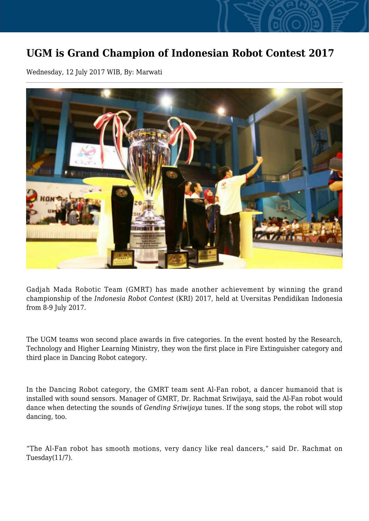## **UGM is Grand Champion of Indonesian Robot Contest 2017**

Wednesday, 12 July 2017 WIB, By: Marwati



Gadjah Mada Robotic Team (GMRT) has made another achievement by winning the grand championship of the *Indonesia Robot Contest* (KRI) 2017, held at Uversitas Pendidikan Indonesia from 8-9 July 2017.

The UGM teams won second place awards in five categories. In the event hosted by the Research, Technology and Higher Learning Ministry, they won the first place in Fire Extinguisher category and third place in Dancing Robot category.

In the Dancing Robot category, the GMRT team sent Al-Fan robot, a dancer humanoid that is installed with sound sensors. Manager of GMRT, Dr. Rachmat Sriwijaya, said the Al-Fan robot would dance when detecting the sounds of *Gending Sriwijaya* tunes. If the song stops, the robot will stop dancing, too.

"The Al-Fan robot has smooth motions, very dancy like real dancers," said Dr. Rachmat on Tuesday(11/7).